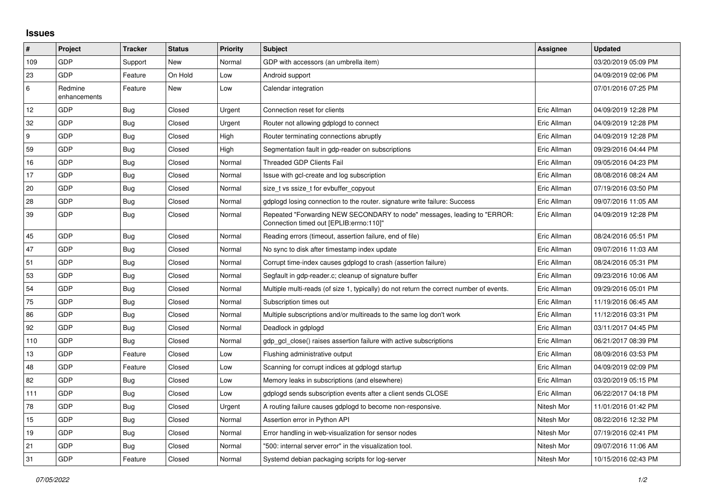## **Issues**

| $\pmb{\sharp}$ | Project                 | <b>Tracker</b> | <b>Status</b> | <b>Priority</b> | <b>Subject</b>                                                                                                      | <b>Assignee</b> | <b>Updated</b>      |
|----------------|-------------------------|----------------|---------------|-----------------|---------------------------------------------------------------------------------------------------------------------|-----------------|---------------------|
| 109            | GDP                     | Support        | New           | Normal          | GDP with accessors (an umbrella item)                                                                               |                 | 03/20/2019 05:09 PM |
| 23             | GDP                     | Feature        | On Hold       | Low             | Android support                                                                                                     |                 | 04/09/2019 02:06 PM |
| 6              | Redmine<br>enhancements | Feature        | New           | Low             | Calendar integration                                                                                                |                 | 07/01/2016 07:25 PM |
| 12             | GDP                     | <b>Bug</b>     | Closed        | Urgent          | Connection reset for clients                                                                                        | Eric Allman     | 04/09/2019 12:28 PM |
| 32             | GDP                     | Bug            | Closed        | Urgent          | Router not allowing gdplogd to connect                                                                              | Eric Allman     | 04/09/2019 12:28 PM |
| 9              | GDP                     | <b>Bug</b>     | Closed        | High            | Router terminating connections abruptly                                                                             | Eric Allman     | 04/09/2019 12:28 PM |
| 59             | GDP                     | <b>Bug</b>     | Closed        | High            | Segmentation fault in gdp-reader on subscriptions                                                                   | Eric Allman     | 09/29/2016 04:44 PM |
| 16             | GDP                     | Bug            | Closed        | Normal          | <b>Threaded GDP Clients Fail</b>                                                                                    | Eric Allman     | 09/05/2016 04:23 PM |
| 17             | GDP                     | <b>Bug</b>     | Closed        | Normal          | Issue with gcl-create and log subscription                                                                          | Eric Allman     | 08/08/2016 08:24 AM |
| 20             | GDP                     | <b>Bug</b>     | Closed        | Normal          | size t vs ssize t for evbuffer copyout                                                                              | Eric Allman     | 07/19/2016 03:50 PM |
| 28             | <b>GDP</b>              | Bug            | Closed        | Normal          | gdplogd losing connection to the router, signature write failure: Success                                           | Eric Allman     | 09/07/2016 11:05 AM |
| 39             | GDP                     | <b>Bug</b>     | Closed        | Normal          | Repeated "Forwarding NEW SECONDARY to node" messages, leading to "ERROR:<br>Connection timed out [EPLIB:errno:110]" | Eric Allman     | 04/09/2019 12:28 PM |
| 45             | GDP                     | <b>Bug</b>     | Closed        | Normal          | Reading errors (timeout, assertion failure, end of file)                                                            | Eric Allman     | 08/24/2016 05:51 PM |
| 47             | GDP                     | <b>Bug</b>     | Closed        | Normal          | No sync to disk after timestamp index update                                                                        | Eric Allman     | 09/07/2016 11:03 AM |
| 51             | GDP                     | <b>Bug</b>     | Closed        | Normal          | Corrupt time-index causes gdplogd to crash (assertion failure)                                                      | Eric Allman     | 08/24/2016 05:31 PM |
| 53             | GDP                     | <b>Bug</b>     | Closed        | Normal          | Segfault in gdp-reader.c; cleanup of signature buffer                                                               | Eric Allman     | 09/23/2016 10:06 AM |
| 54             | GDP                     | <b>Bug</b>     | Closed        | Normal          | Multiple multi-reads (of size 1, typically) do not return the correct number of events.                             | Eric Allman     | 09/29/2016 05:01 PM |
| 75             | GDP                     | Bug            | Closed        | Normal          | Subscription times out                                                                                              | Eric Allman     | 11/19/2016 06:45 AM |
| 86             | GDP                     | <b>Bug</b>     | Closed        | Normal          | Multiple subscriptions and/or multireads to the same log don't work                                                 | Eric Allman     | 11/12/2016 03:31 PM |
| 92             | GDP                     | <b>Bug</b>     | Closed        | Normal          | Deadlock in gdplogd                                                                                                 | Eric Allman     | 03/11/2017 04:45 PM |
| 110            | GDP                     | Bug            | Closed        | Normal          | gdp_gcl_close() raises assertion failure with active subscriptions                                                  | Eric Allman     | 06/21/2017 08:39 PM |
| 13             | <b>GDP</b>              | Feature        | Closed        | Low             | Flushing administrative output                                                                                      | Eric Allman     | 08/09/2016 03:53 PM |
| 48             | GDP                     | Feature        | Closed        | Low             | Scanning for corrupt indices at gdplogd startup                                                                     | Eric Allman     | 04/09/2019 02:09 PM |
| 82             | GDP                     | <b>Bug</b>     | Closed        | Low             | Memory leaks in subscriptions (and elsewhere)                                                                       | Eric Allman     | 03/20/2019 05:15 PM |
| 111            | GDP                     | Bug            | Closed        | Low             | gdplogd sends subscription events after a client sends CLOSE                                                        | Eric Allman     | 06/22/2017 04:18 PM |
| 78             | GDP                     | <b>Bug</b>     | Closed        | Urgent          | A routing failure causes gdplogd to become non-responsive.                                                          | Nitesh Mor      | 11/01/2016 01:42 PM |
| 15             | GDP                     | <b>Bug</b>     | Closed        | Normal          | Assertion error in Python API                                                                                       | Nitesh Mor      | 08/22/2016 12:32 PM |
| 19             | <b>GDP</b>              | Bug            | Closed        | Normal          | Error handling in web-visualization for sensor nodes                                                                | Nitesh Mor      | 07/19/2016 02:41 PM |
| 21             | GDP                     | <b>Bug</b>     | Closed        | Normal          | "500: internal server error" in the visualization tool.                                                             | Nitesh Mor      | 09/07/2016 11:06 AM |
| 31             | GDP                     | Feature        | Closed        | Normal          | Systemd debian packaging scripts for log-server                                                                     | Nitesh Mor      | 10/15/2016 02:43 PM |